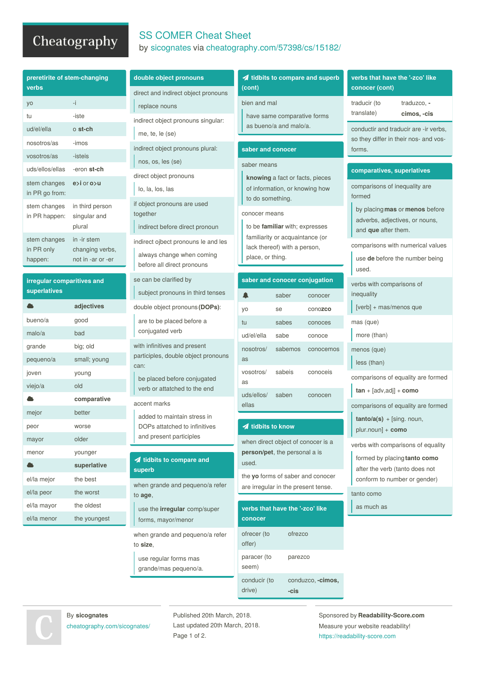## Cheatography

## SS COMER Cheat Sheet by [sicognates](http://www.cheatography.com/sicognates/) via [cheatography.com/57398/cs/15182/](http://www.cheatography.com/sicognates/cheat-sheets/ss-comer)

| preretirite of stem-changing<br>verbs      |                                                     | double object pronouns                                                                         | idbits to compare and superb<br>(cont)                                                                                                                                                                                                         |         |                                       | verbs that have the '-zco' like<br>conocer (cont)                                                                                                                |                                                                     |
|--------------------------------------------|-----------------------------------------------------|------------------------------------------------------------------------------------------------|------------------------------------------------------------------------------------------------------------------------------------------------------------------------------------------------------------------------------------------------|---------|---------------------------------------|------------------------------------------------------------------------------------------------------------------------------------------------------------------|---------------------------------------------------------------------|
| yo                                         | -i                                                  | direct and indirect object pronouns<br>replace nouns                                           | bien and mal                                                                                                                                                                                                                                   |         |                                       | traducir (to                                                                                                                                                     | traduzco. -                                                         |
| tu                                         | -iste                                               | indirect object pronouns singular:                                                             | have same comparative forms<br>as bueno/a and malo/a.                                                                                                                                                                                          |         | translate)                            | cimos, -cis                                                                                                                                                      |                                                                     |
| ud/el/ella                                 | o st-ch                                             | me, te, le (se)                                                                                |                                                                                                                                                                                                                                                |         | conductir and traducir are -ir verbs, |                                                                                                                                                                  |                                                                     |
| nosotros/as<br>-imos                       |                                                     | indirect object pronouns plural:                                                               | saber and conocer                                                                                                                                                                                                                              |         |                                       | so they differ in their nos- and vos-<br>forms.                                                                                                                  |                                                                     |
| vosotros/as                                | -isteis                                             | nos, os, les (se)                                                                              |                                                                                                                                                                                                                                                |         |                                       |                                                                                                                                                                  |                                                                     |
| uds/ellos/ellas                            | -eron st-ch                                         | direct object pronouns                                                                         | saber means<br>knowing a fact or facts, pieces<br>of information, or knowing how<br>to do something.<br>conocer means<br>to be familiar with; expresses<br>familiarity or acquaintance (or<br>lack thereof) with a person,<br>place, or thing. |         |                                       | comparatives, superlatives<br>comparisons of inequality are<br>formed<br>by placing mas or menos before<br>adverbs, adjectives, or nouns,<br>and que after them. |                                                                     |
| stem changes<br>in PR go from:             | $e > i$ or $o > u$                                  | lo, la, los, las                                                                               |                                                                                                                                                                                                                                                |         |                                       |                                                                                                                                                                  |                                                                     |
| stem changes<br>in PR happen:              | in third person<br>singular and<br>plural           | if object pronouns are used<br>together<br>indirect before direct pronoun                      |                                                                                                                                                                                                                                                |         |                                       |                                                                                                                                                                  |                                                                     |
| stem changes<br>in PR only<br>happen:      | in -ir stem<br>changing verbs,<br>not in -ar or -er | indirect ojbect pronouns le and les<br>always change when coming<br>before all direct pronouns |                                                                                                                                                                                                                                                |         |                                       | used.                                                                                                                                                            | comparisons with numerical values<br>use de before the number being |
| irregular comparitives and<br>superlatives |                                                     | se can be clarified by<br>subject pronouns in third tenses                                     | saber and conocer conjugation<br>▲<br>saber<br>conocer                                                                                                                                                                                         |         |                                       | verbs with comparisons of<br>inequality                                                                                                                          |                                                                     |
|                                            | adjectives                                          | double object pronouns (DOPs):                                                                 | yo<br>se                                                                                                                                                                                                                                       |         | conozco                               | [verb] + mas/menos que                                                                                                                                           |                                                                     |
| bueno/a                                    | good                                                | are to be placed before a<br>conjugated verb                                                   | tu                                                                                                                                                                                                                                             | sabes   | conoces                               | mas (que)                                                                                                                                                        |                                                                     |
| malo/a                                     | bad                                                 |                                                                                                | ud/el/ella                                                                                                                                                                                                                                     | sabe    | conoce                                | more (than)                                                                                                                                                      |                                                                     |
| grande                                     | big; old                                            | with infinitives and present                                                                   | nosotros/                                                                                                                                                                                                                                      | sabemos | conocemos                             | menos (que)                                                                                                                                                      |                                                                     |
| pequeno/a                                  | small; young                                        | participles, double object pronouns                                                            | as                                                                                                                                                                                                                                             |         |                                       | less (than)                                                                                                                                                      |                                                                     |
| joven                                      | young                                               | can:<br>be placed before conjugated                                                            | vosotros/                                                                                                                                                                                                                                      | sabeis  | conoceis                              |                                                                                                                                                                  | comparisons of equality are formed                                  |
| viejo/a                                    | old                                                 | verb or attatched to the end                                                                   | as                                                                                                                                                                                                                                             |         |                                       | $tan + [adv, adj] + como$                                                                                                                                        |                                                                     |
|                                            | comparative                                         | accent marks                                                                                   | uds/ellos/<br>saben<br>conocen<br>ellas                                                                                                                                                                                                        |         |                                       |                                                                                                                                                                  |                                                                     |
| mejor                                      | better                                              | added to maintain stress in                                                                    |                                                                                                                                                                                                                                                |         |                                       |                                                                                                                                                                  | comparisons of equality are formed                                  |
| peor                                       | worse                                               | DOPs attatched to infinitives                                                                  | idbits to know<br>when direct object of conocer is a<br>person/pet, the personal a is<br>used.<br>the yo forms of saber and conocer<br>are irregular in the present tense.<br>verbs that have the '-zco' like                                  |         |                                       | $tanto/a(s) + [sing. noun,$<br>plur.noun] + como                                                                                                                 |                                                                     |
| mayor                                      | older                                               | and present participles                                                                        |                                                                                                                                                                                                                                                |         |                                       |                                                                                                                                                                  |                                                                     |
| menor                                      | younger                                             |                                                                                                |                                                                                                                                                                                                                                                |         |                                       | verbs with comparisons of equality<br>formed by placing tanto como<br>after the verb (tanto does not<br>conform to number or gender)                             |                                                                     |
|                                            | superlative                                         | <b>1</b> tidbits to compare and<br>superb                                                      |                                                                                                                                                                                                                                                |         |                                       |                                                                                                                                                                  |                                                                     |
| el/la mejor                                | the best                                            | when grande and pequeno/a refer                                                                |                                                                                                                                                                                                                                                |         |                                       |                                                                                                                                                                  |                                                                     |
| el/la peor                                 | the worst                                           | to age,                                                                                        |                                                                                                                                                                                                                                                |         |                                       | tanto como                                                                                                                                                       |                                                                     |
| el/la mayor                                | the oldest                                          | use the irregular comp/super                                                                   |                                                                                                                                                                                                                                                |         |                                       | as much as                                                                                                                                                       |                                                                     |
| el/la menor                                | the youngest                                        | forms, mayor/menor                                                                             | conocer                                                                                                                                                                                                                                        |         |                                       |                                                                                                                                                                  |                                                                     |
|                                            |                                                     | when grande and pequeno/a refer<br>to size,                                                    | ofrecer (to<br>offer)                                                                                                                                                                                                                          | ofrezco |                                       |                                                                                                                                                                  |                                                                     |
|                                            |                                                     | use regular forms mas                                                                          | paracer (to                                                                                                                                                                                                                                    | parezco |                                       |                                                                                                                                                                  |                                                                     |

By **sicognates** [cheatography.com/sicognates/](http://www.cheatography.com/sicognates/) Published 20th March, 2018. Last updated 20th March, 2018. Page 1 of 2.

seem)

conducir (to drive)

conduzco, **-cimos,**

**-cis**

grande/mas pequeno/a.

Sponsored by **Readability-Score.com** Measure your website readability! <https://readability-score.com>